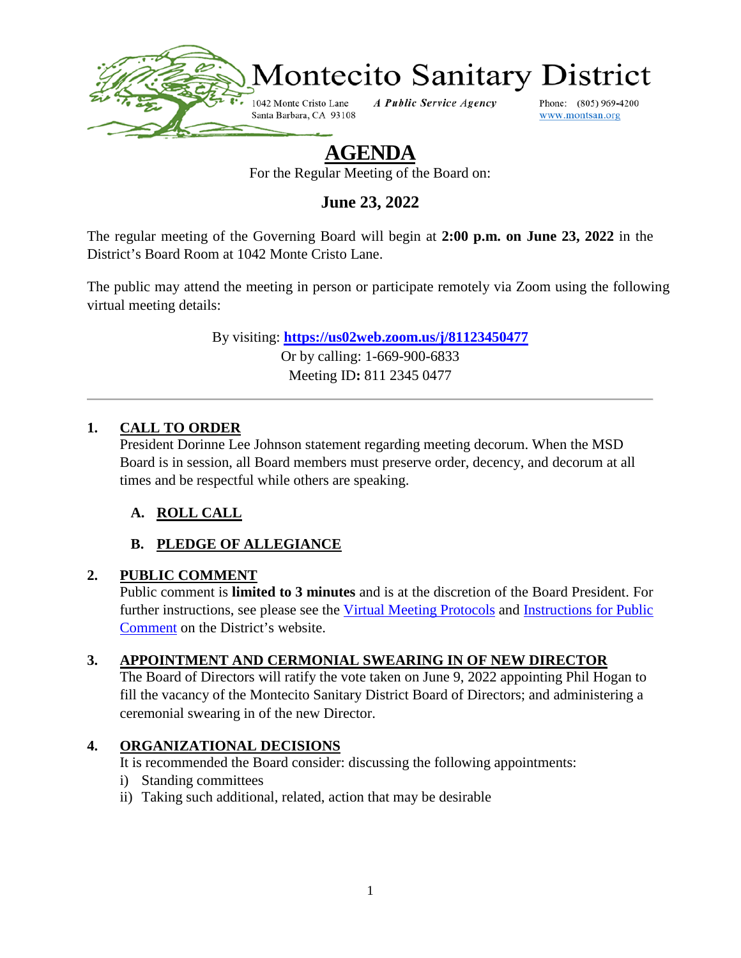

# **AGENDA**

For the Regular Meeting of the Board on:

**June 23, 2022**

The regular meeting of the Governing Board will begin at **2:00 p.m. on June 23, 2022** in the District's Board Room at 1042 Monte Cristo Lane.

The public may attend the meeting in person or participate remotely via Zoom using the following virtual meeting details:

> By visiting: **<https://us02web.zoom.us/j/81123450477>** Or by calling: 1-669-900-6833 Meeting ID**:** 811 2345 0477

# **1. CALL TO ORDER**

President Dorinne Lee Johnson statement regarding meeting decorum. When the MSD Board is in session, all Board members must preserve order, decency, and decorum at all times and be respectful while others are speaking.

# **A. ROLL CALL**

# **B. PLEDGE OF ALLEGIANCE**

# **2. PUBLIC COMMENT**

Public comment is **limited to 3 minutes** and is at the discretion of the Board President. For further instructions, see please see the [Virtual Meeting Protocols](https://www.montsan.org/files/626c431f0/Virtual+Meeting+Protocols.pdf) and [Instructions for Public](https://www.montsan.org/files/6d1aebcdb/Instructions+for+Public+Comment.pdf)  [Comment](https://www.montsan.org/files/6d1aebcdb/Instructions+for+Public+Comment.pdf) on the District's website.

# **3. APPOINTMENT AND CERMONIAL SWEARING IN OF NEW DIRECTOR**

The Board of Directors will ratify the vote taken on June 9, 2022 appointing Phil Hogan to fill the vacancy of the Montecito Sanitary District Board of Directors; and administering a ceremonial swearing in of the new Director.

# **4. ORGANIZATIONAL DECISIONS**

It is recommended the Board consider: discussing the following appointments:

- i) Standing committees
- ii) Taking such additional, related, action that may be desirable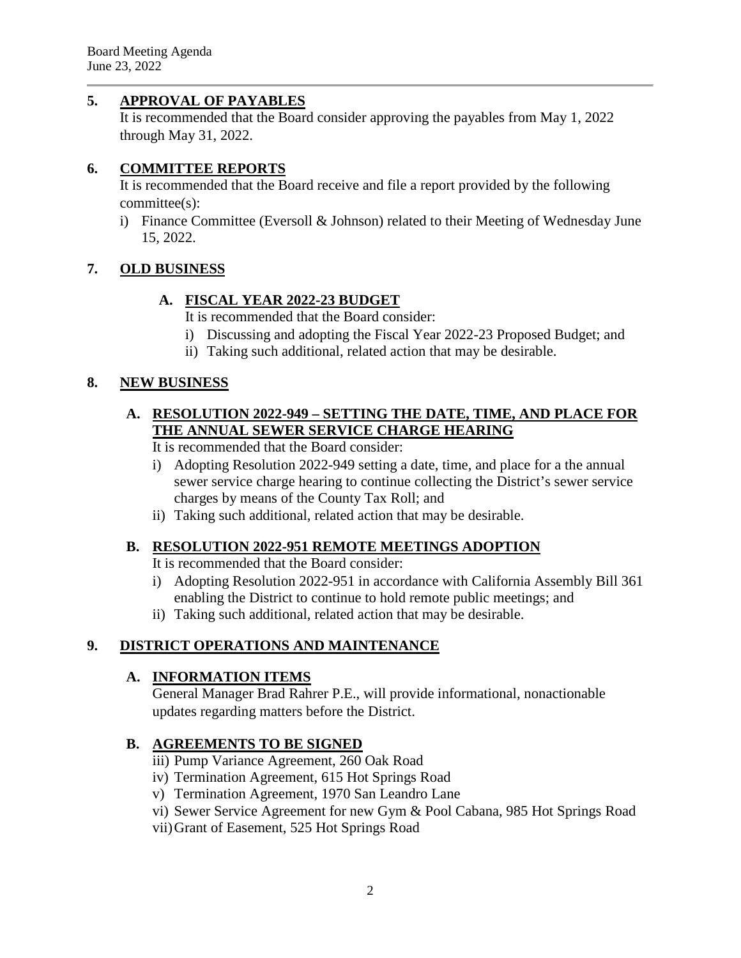### **5. APPROVAL OF PAYABLES**

It is recommended that the Board consider approving the payables from May 1, 2022 through May 31, 2022.

#### **6. COMMITTEE REPORTS**

It is recommended that the Board receive and file a report provided by the following committee(s):

i) Finance Committee (Eversoll & Johnson) related to their Meeting of Wednesday June 15, 2022.

#### **7. OLD BUSINESS**

#### **A. FISCAL YEAR 2022-23 BUDGET**

It is recommended that the Board consider:

- i) Discussing and adopting the Fiscal Year 2022-23 Proposed Budget; and
- ii) Taking such additional, related action that may be desirable.

#### **8. NEW BUSINESS**

#### **A. RESOLUTION 2022-949 – SETTING THE DATE, TIME, AND PLACE FOR THE ANNUAL SEWER SERVICE CHARGE HEARING**

It is recommended that the Board consider:

- i) Adopting Resolution 2022-949 setting a date, time, and place for a the annual sewer service charge hearing to continue collecting the District's sewer service charges by means of the County Tax Roll; and
- ii) Taking such additional, related action that may be desirable.

#### **B. RESOLUTION 2022-951 REMOTE MEETINGS ADOPTION**

It is recommended that the Board consider:

- i) Adopting Resolution 2022-951 in accordance with California Assembly Bill 361 enabling the District to continue to hold remote public meetings; and
- ii) Taking such additional, related action that may be desirable.

#### **9. DISTRICT OPERATIONS AND MAINTENANCE**

#### **A. INFORMATION ITEMS**

General Manager Brad Rahrer P.E., will provide informational, nonactionable updates regarding matters before the District.

#### **B. AGREEMENTS TO BE SIGNED**

- iii) Pump Variance Agreement, 260 Oak Road
- iv) Termination Agreement, 615 Hot Springs Road
- v) Termination Agreement, 1970 San Leandro Lane
- vi) Sewer Service Agreement for new Gym & Pool Cabana, 985 Hot Springs Road
- vii)Grant of Easement, 525 Hot Springs Road